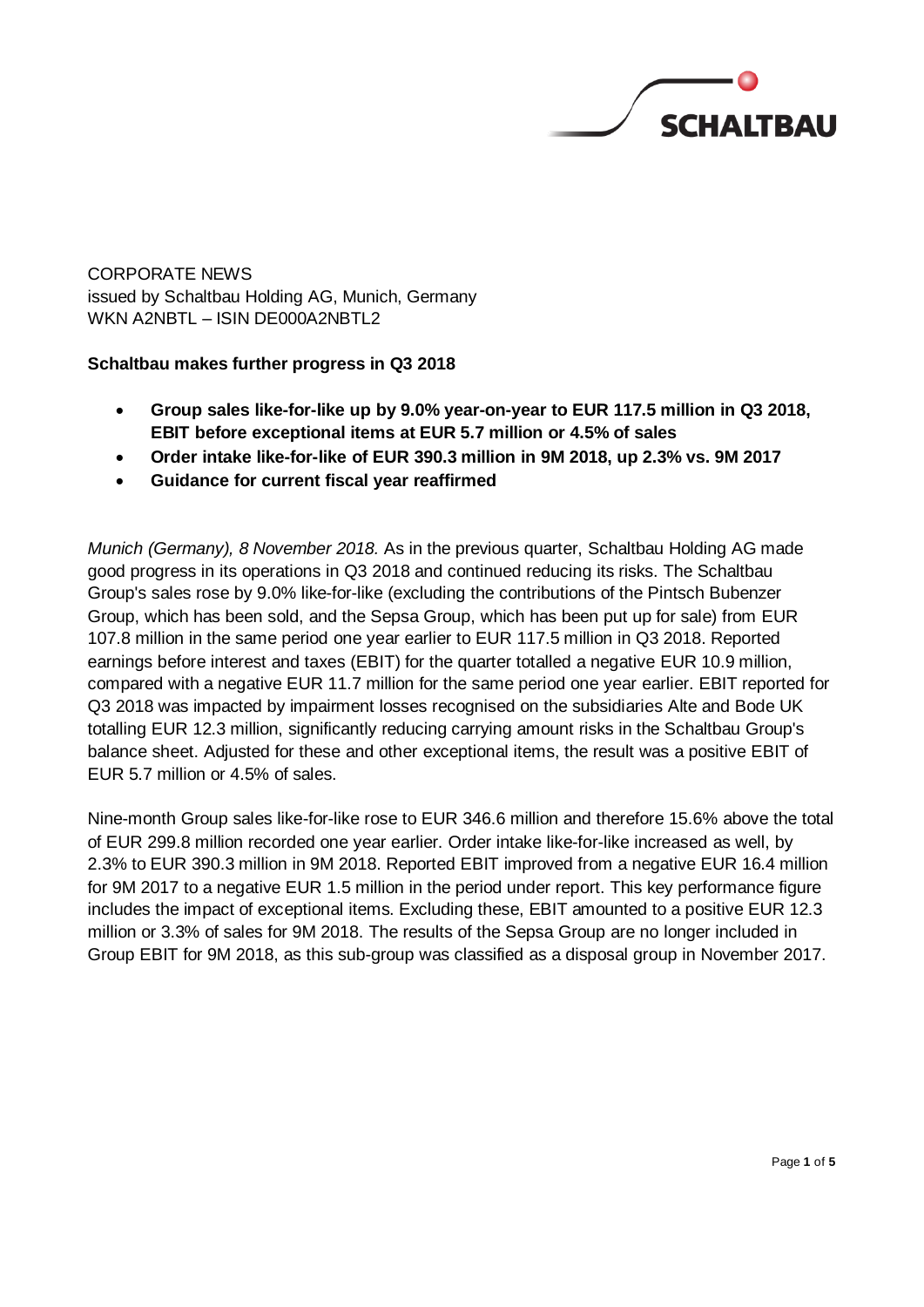

CORPORATE NEWS issued by Schaltbau Holding AG, Munich, Germany WKN A2NBTL – ISIN DE000A2NBTL2

# **Schaltbau makes further progress in Q3 2018**

- **Group sales like-for-like up by 9.0% year-on-year to EUR 117.5 million in Q3 2018, EBIT before exceptional items at EUR 5.7 million or 4.5% of sales**
- **Order intake like-for-like of EUR 390.3 million in 9M 2018, up 2.3% vs. 9M 2017**
- **Guidance for current fiscal year reaffirmed**

*Munich (Germany), 8 November 2018.* As in the previous quarter, Schaltbau Holding AG made good progress in its operations in Q3 2018 and continued reducing its risks. The Schaltbau Group's sales rose by 9.0% like-for-like (excluding the contributions of the Pintsch Bubenzer Group, which has been sold, and the Sepsa Group, which has been put up for sale) from EUR 107.8 million in the same period one year earlier to EUR 117.5 million in Q3 2018. Reported earnings before interest and taxes (EBIT) for the quarter totalled a negative EUR 10.9 million, compared with a negative EUR 11.7 million for the same period one year earlier. EBIT reported for Q3 2018 was impacted by impairment losses recognised on the subsidiaries Alte and Bode UK totalling EUR 12.3 million, significantly reducing carrying amount risks in the Schaltbau Group's balance sheet. Adjusted for these and other exceptional items, the result was a positive EBIT of EUR 5.7 million or 4.5% of sales.

Nine-month Group sales like-for-like rose to EUR 346.6 million and therefore 15.6% above the total of EUR 299.8 million recorded one year earlier. Order intake like-for-like increased as well, by 2.3% to EUR 390.3 million in 9M 2018. Reported EBIT improved from a negative EUR 16.4 million for 9M 2017 to a negative EUR 1.5 million in the period under report. This key performance figure includes the impact of exceptional items. Excluding these, EBIT amounted to a positive EUR 12.3 million or 3.3% of sales for 9M 2018. The results of the Sepsa Group are no longer included in Group EBIT for 9M 2018, as this sub-group was classified as a disposal group in November 2017.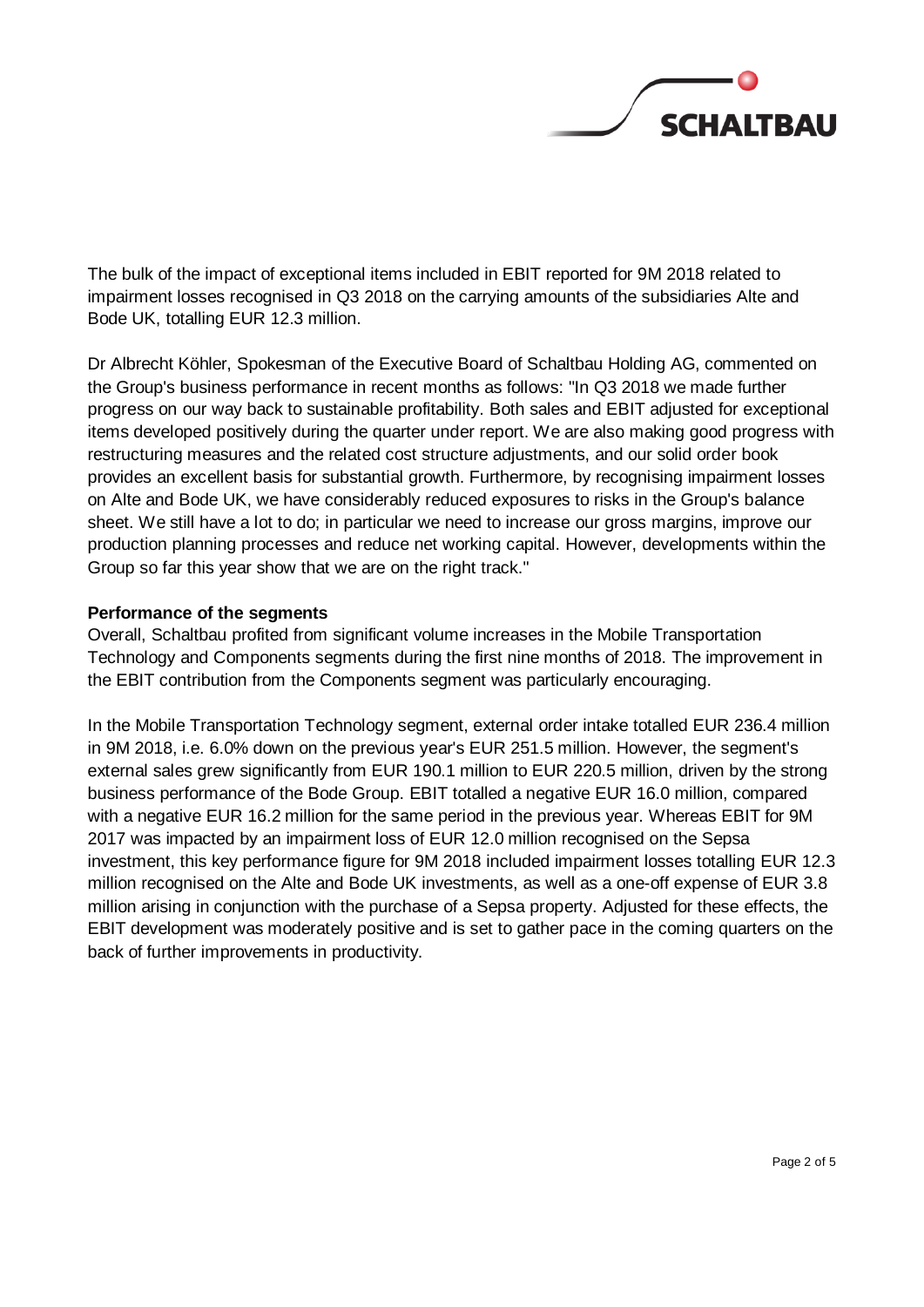

The bulk of the impact of exceptional items included in EBIT reported for 9M 2018 related to impairment losses recognised in Q3 2018 on the carrying amounts of the subsidiaries Alte and Bode UK, totalling EUR 12.3 million.

Dr Albrecht Köhler, Spokesman of the Executive Board of Schaltbau Holding AG, commented on the Group's business performance in recent months as follows: "In Q3 2018 we made further progress on our way back to sustainable profitability. Both sales and EBIT adjusted for exceptional items developed positively during the quarter under report. We are also making good progress with restructuring measures and the related cost structure adjustments, and our solid order book provides an excellent basis for substantial growth. Furthermore, by recognising impairment losses on Alte and Bode UK, we have considerably reduced exposures to risks in the Group's balance sheet. We still have a lot to do; in particular we need to increase our gross margins, improve our production planning processes and reduce net working capital. However, developments within the Group so far this year show that we are on the right track."

## **Performance of the segments**

Overall, Schaltbau profited from significant volume increases in the Mobile Transportation Technology and Components segments during the first nine months of 2018. The improvement in the EBIT contribution from the Components segment was particularly encouraging.

In the Mobile Transportation Technology segment, external order intake totalled EUR 236.4 million in 9M 2018, i.e. 6.0% down on the previous year's EUR 251.5 million. However, the segment's external sales grew significantly from EUR 190.1 million to EUR 220.5 million, driven by the strong business performance of the Bode Group. EBIT totalled a negative EUR 16.0 million, compared with a negative EUR 16.2 million for the same period in the previous year. Whereas EBIT for 9M 2017 was impacted by an impairment loss of EUR 12.0 million recognised on the Sepsa investment, this key performance figure for 9M 2018 included impairment losses totalling EUR 12.3 million recognised on the Alte and Bode UK investments, as well as a one-off expense of EUR 3.8 million arising in conjunction with the purchase of a Sepsa property. Adjusted for these effects, the EBIT development was moderately positive and is set to gather pace in the coming quarters on the back of further improvements in productivity.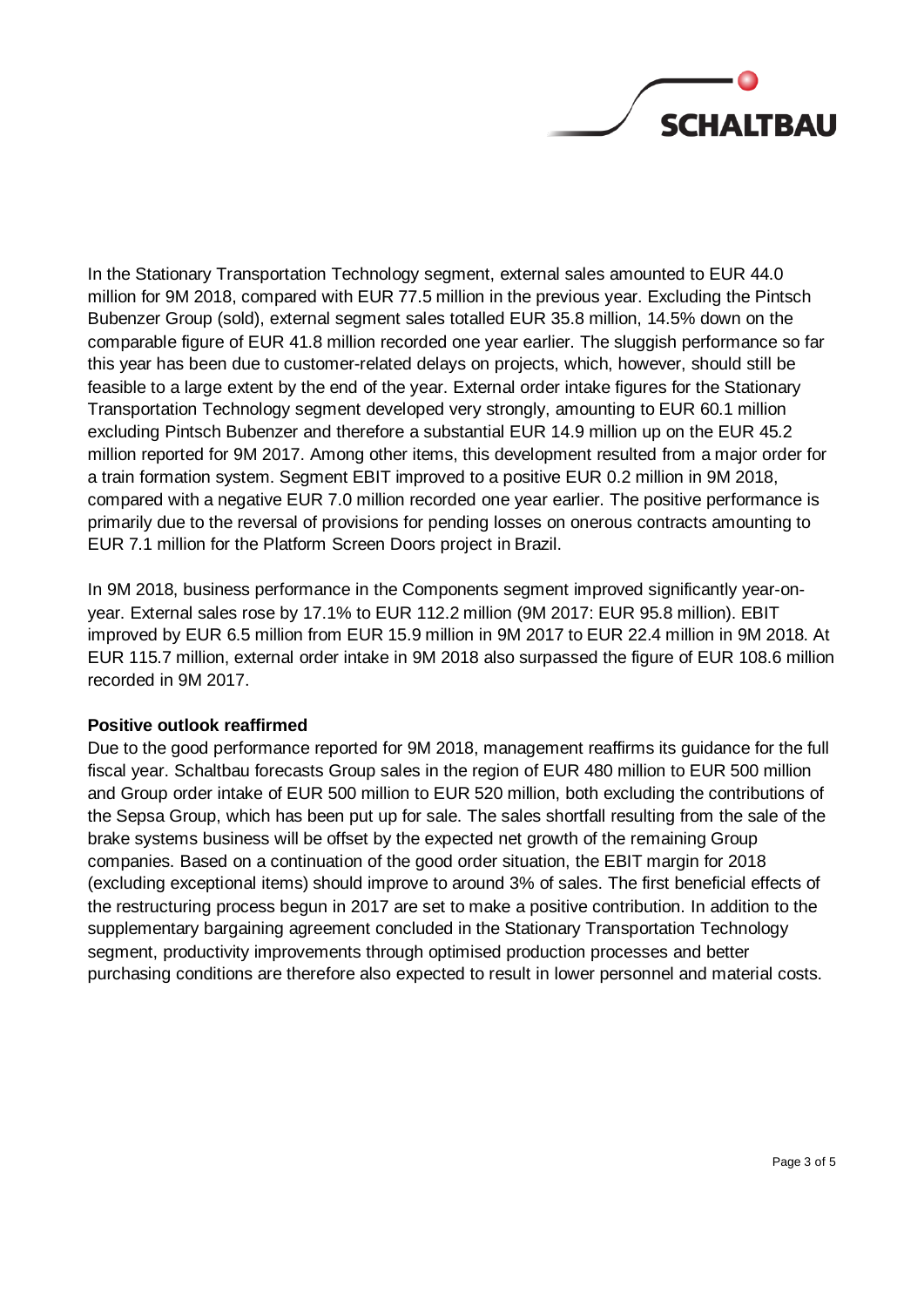

In the Stationary Transportation Technology segment, external sales amounted to EUR 44.0 million for 9M 2018, compared with EUR 77.5 million in the previous year. Excluding the Pintsch Bubenzer Group (sold), external segment sales totalled EUR 35.8 million, 14.5% down on the comparable figure of EUR 41.8 million recorded one year earlier. The sluggish performance so far this year has been due to customer-related delays on projects, which, however, should still be feasible to a large extent by the end of the year. External order intake figures for the Stationary Transportation Technology segment developed very strongly, amounting to EUR 60.1 million excluding Pintsch Bubenzer and therefore a substantial EUR 14.9 million up on the EUR 45.2 million reported for 9M 2017. Among other items, this development resulted from a major order for a train formation system. Segment EBIT improved to a positive EUR 0.2 million in 9M 2018, compared with a negative EUR 7.0 million recorded one year earlier. The positive performance is primarily due to the reversal of provisions for pending losses on onerous contracts amounting to EUR 7.1 million for the Platform Screen Doors project in Brazil.

In 9M 2018, business performance in the Components segment improved significantly year-onyear. External sales rose by 17.1% to EUR 112.2 million (9M 2017: EUR 95.8 million). EBIT improved by EUR 6.5 million from EUR 15.9 million in 9M 2017 to EUR 22.4 million in 9M 2018. At EUR 115.7 million, external order intake in 9M 2018 also surpassed the figure of EUR 108.6 million recorded in 9M 2017.

## **Positive outlook reaffirmed**

Due to the good performance reported for 9M 2018, management reaffirms its guidance for the full fiscal year. Schaltbau forecasts Group sales in the region of EUR 480 million to EUR 500 million and Group order intake of EUR 500 million to EUR 520 million, both excluding the contributions of the Sepsa Group, which has been put up for sale. The sales shortfall resulting from the sale of the brake systems business will be offset by the expected net growth of the remaining Group companies. Based on a continuation of the good order situation, the EBIT margin for 2018 (excluding exceptional items) should improve to around 3% of sales. The first beneficial effects of the restructuring process begun in 2017 are set to make a positive contribution. In addition to the supplementary bargaining agreement concluded in the Stationary Transportation Technology segment, productivity improvements through optimised production processes and better purchasing conditions are therefore also expected to result in lower personnel and material costs.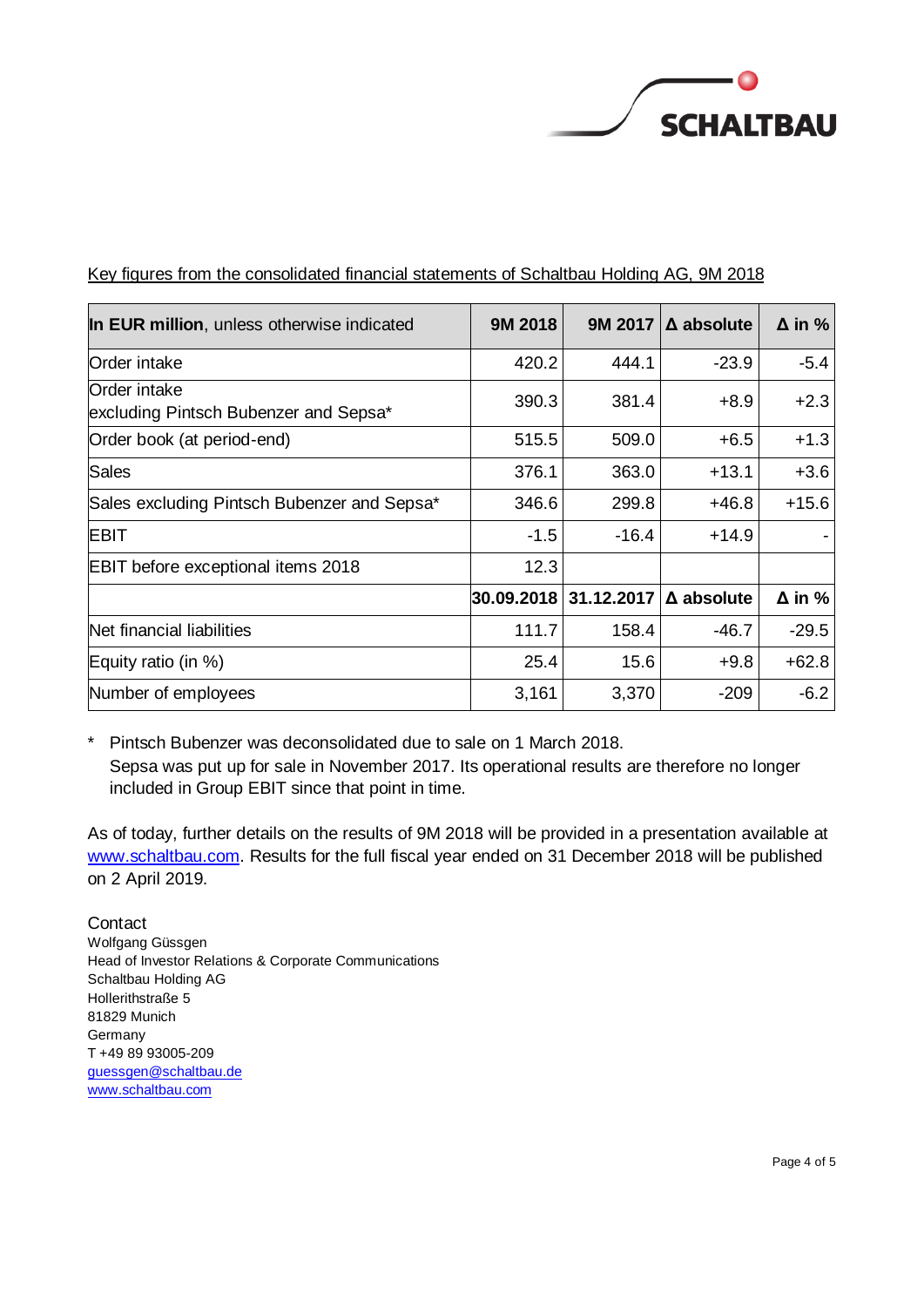

| In EUR million, unless otherwise indicated             | 9M 2018    | 9M 2017    | $\Delta$ absolute | $\Delta$ in % |
|--------------------------------------------------------|------------|------------|-------------------|---------------|
| Order intake                                           | 420.2      | 444.1      | $-23.9$           | $-5.4$        |
| lOrder intake<br>excluding Pintsch Bubenzer and Sepsa* | 390.3      | 381.4      | $+8.9$            | $+2.3$        |
| Order book (at period-end)                             | 515.5      | 509.0      | $+6.5$            | $+1.3$        |
| <b>Sales</b>                                           | 376.1      | 363.0      | $+13.1$           | $+3.6$        |
| Sales excluding Pintsch Bubenzer and Sepsa*            | 346.6      | 299.8      | $+46.8$           | $+15.6$       |
| <b>EBIT</b>                                            | $-1.5$     | $-16.4$    | $+14.9$           |               |
| <b>EBIT</b> before exceptional items 2018              | 12.3       |            |                   |               |
|                                                        | 30.09.2018 | 31.12.2017 | $\Delta$ absolute | $\Delta$ in % |
| Net financial liabilities                              | 111.7      | 158.4      | $-46.7$           | $-29.5$       |
| Equity ratio (in %)                                    | 25.4       | 15.6       | $+9.8$            | $+62.8$       |
| Number of employees                                    | 3,161      | 3,370      | $-209$            | $-6.2$        |

Key figures from the consolidated financial statements of Schaltbau Holding AG, 9M 2018

\* Pintsch Bubenzer was deconsolidated due to sale on 1 March 2018. Sepsa was put up for sale in November 2017. Its operational results are therefore no longer included in Group EBIT since that point in time.

As of today, further details on the results of 9M 2018 will be provided in a presentation available at [www.schaltbau.com.](https://schaltbau.com/investor-relations/presentations/) Results for the full fiscal year ended on 31 December 2018 will be published on 2 April 2019.

**Contact** Wolfgang Güssgen Head of Investor Relations & Corporate Communications Schaltbau Holding AG Hollerithstraße 5 81829 Munich Germany T +49 89 93005-209 [guessgen@schaltbau.de](mailto:Guessgen@schaltbau.de) [www.schaltbau.com](http://www.schaltbau.com/)